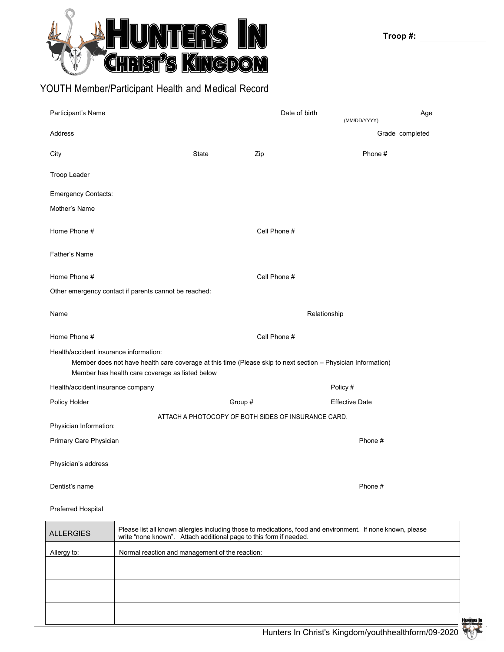

## YOUTH Member/Participant Health and Medical Record

| Participant's Name                                                                                                                                                                                        |         | Date of birth                                       | Age<br>(MM/DD/YYYY)   |  |  |  |
|-----------------------------------------------------------------------------------------------------------------------------------------------------------------------------------------------------------|---------|-----------------------------------------------------|-----------------------|--|--|--|
| <b>Address</b>                                                                                                                                                                                            |         |                                                     | Grade completed       |  |  |  |
| City                                                                                                                                                                                                      | State   | Zip                                                 | Phone #               |  |  |  |
| Troop Leader                                                                                                                                                                                              |         |                                                     |                       |  |  |  |
| <b>Emergency Contacts:</b>                                                                                                                                                                                |         |                                                     |                       |  |  |  |
| Mother's Name                                                                                                                                                                                             |         |                                                     |                       |  |  |  |
| Home Phone #                                                                                                                                                                                              |         | Cell Phone #                                        |                       |  |  |  |
| Father's Name                                                                                                                                                                                             |         |                                                     |                       |  |  |  |
| Home Phone #                                                                                                                                                                                              |         | Cell Phone #                                        |                       |  |  |  |
| Other emergency contact if parents cannot be reached:                                                                                                                                                     |         |                                                     |                       |  |  |  |
| Name                                                                                                                                                                                                      |         | Relationship                                        |                       |  |  |  |
| Home Phone #                                                                                                                                                                                              |         | Cell Phone #                                        |                       |  |  |  |
| Health/accident insurance information:<br>Member does not have health care coverage at this time (Please skip to next section - Physician Information)<br>Member has health care coverage as listed below |         |                                                     |                       |  |  |  |
| Health/accident insurance company                                                                                                                                                                         |         |                                                     | Policy #              |  |  |  |
| Policy Holder                                                                                                                                                                                             | Group # |                                                     | <b>Effective Date</b> |  |  |  |
| Physician Information:                                                                                                                                                                                    |         | ATTACH A PHOTOCOPY OF BOTH SIDES OF INSURANCE CARD. |                       |  |  |  |
| Primary Care Physician                                                                                                                                                                                    |         |                                                     | Phone #               |  |  |  |
| Physician's address                                                                                                                                                                                       |         |                                                     |                       |  |  |  |
| Dentist's name                                                                                                                                                                                            |         |                                                     | Phone #               |  |  |  |

## Preferred Hospital

| <b>ALLERGIES</b> | Please list all known allergies including those to medications, food and environment. If none known, please<br>write "none known". Attach additional page to this form if needed. |
|------------------|-----------------------------------------------------------------------------------------------------------------------------------------------------------------------------------|
| Allergy to:      | Normal reaction and management of the reaction:                                                                                                                                   |
|                  |                                                                                                                                                                                   |
|                  |                                                                                                                                                                                   |
|                  |                                                                                                                                                                                   |
|                  |                                                                                                                                                                                   |
|                  |                                                                                                                                                                                   |

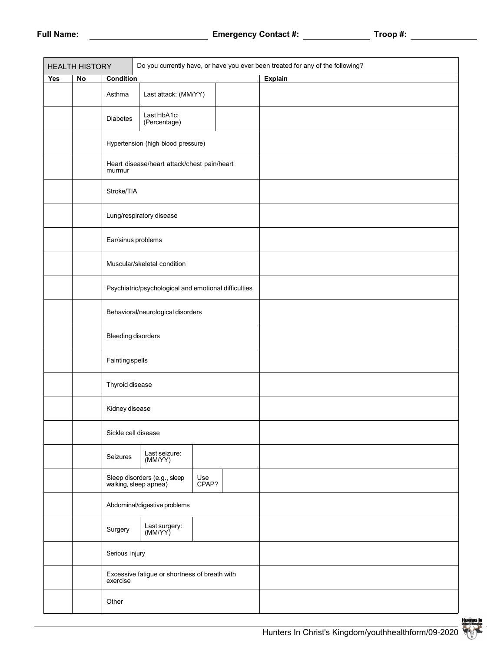|     | <b>HEALTH HISTORY</b> | Do you currently have, or have you ever been treated for any of the following? |                                                       |              |  |                |  |
|-----|-----------------------|--------------------------------------------------------------------------------|-------------------------------------------------------|--------------|--|----------------|--|
| Yes | No                    | <b>Condition</b>                                                               |                                                       |              |  | <b>Explain</b> |  |
|     |                       | Asthma                                                                         | Last attack: (MM/YY)                                  |              |  |                |  |
|     |                       | <b>Diabetes</b>                                                                | Last HbA1c:<br>(Percentage)                           |              |  |                |  |
|     |                       |                                                                                | Hypertension (high blood pressure)                    |              |  |                |  |
|     |                       | murmur                                                                         | Heart disease/heart attack/chest pain/heart           |              |  |                |  |
|     |                       | Stroke/TIA                                                                     |                                                       |              |  |                |  |
|     |                       |                                                                                | Lung/respiratory disease                              |              |  |                |  |
|     |                       | Ear/sinus problems                                                             |                                                       |              |  |                |  |
|     |                       |                                                                                | Muscular/skeletal condition                           |              |  |                |  |
|     |                       | Psychiatric/psychological and emotional difficulties                           |                                                       |              |  |                |  |
|     |                       |                                                                                | Behavioral/neurological disorders                     |              |  |                |  |
|     |                       | <b>Bleeding disorders</b>                                                      |                                                       |              |  |                |  |
|     |                       | <b>Fainting spells</b>                                                         |                                                       |              |  |                |  |
|     |                       | Thyroid disease                                                                |                                                       |              |  |                |  |
|     |                       | Kidney disease                                                                 |                                                       |              |  |                |  |
|     |                       | Sickle cell disease                                                            |                                                       |              |  |                |  |
|     |                       | Seizures                                                                       | Last seizure:<br>(MM/YY)                              |              |  |                |  |
|     |                       |                                                                                | Sleep disorders (e.g., sleep<br>walking, sleep apnea) | Use<br>CPAP? |  |                |  |
|     |                       | Abdominal/digestive problems                                                   |                                                       |              |  |                |  |
|     |                       | Surgery                                                                        | Last surgery:<br>(MM/YY)                              |              |  |                |  |
|     |                       | Serious injury                                                                 |                                                       |              |  |                |  |
|     |                       | Excessive fatigue or shortness of breath with<br>exercise                      |                                                       |              |  |                |  |
|     |                       | Other                                                                          |                                                       |              |  |                |  |

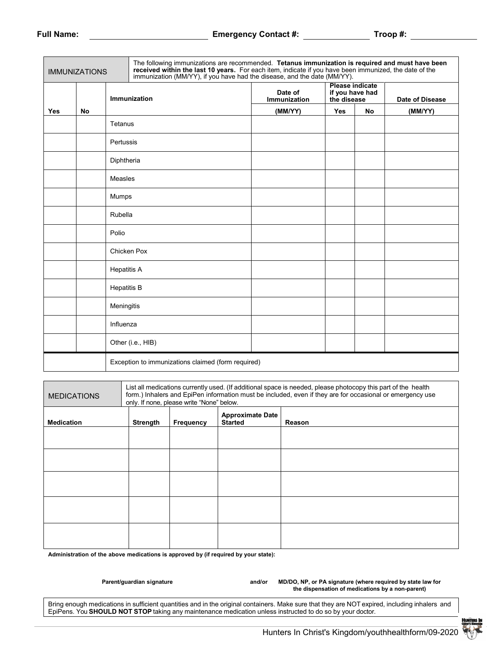| <b>IMMUNIZATIONS</b> |    |                    | The following immunizations are recommended. Tetanus immunization is required and must have been<br>received within the last 10 years. For each item, indicate if you have been immunized, the date of the<br>immunization (MM/YY), if you have had the disease, and the date (MM/YY). |                         |                                                          |    |                 |
|----------------------|----|--------------------|----------------------------------------------------------------------------------------------------------------------------------------------------------------------------------------------------------------------------------------------------------------------------------------|-------------------------|----------------------------------------------------------|----|-----------------|
|                      |    | Immunization       |                                                                                                                                                                                                                                                                                        | Date of<br>Immunization | <b>Please indicate</b><br>if you have had<br>the disease |    | Date of Disease |
| <b>Yes</b>           | No |                    |                                                                                                                                                                                                                                                                                        | (MM/YY)                 | Yes                                                      | No | (MM/YY)         |
|                      |    | Tetanus            |                                                                                                                                                                                                                                                                                        |                         |                                                          |    |                 |
|                      |    | Pertussis          |                                                                                                                                                                                                                                                                                        |                         |                                                          |    |                 |
|                      |    | Diphtheria         |                                                                                                                                                                                                                                                                                        |                         |                                                          |    |                 |
|                      |    | <b>Measles</b>     |                                                                                                                                                                                                                                                                                        |                         |                                                          |    |                 |
|                      |    | Mumps              |                                                                                                                                                                                                                                                                                        |                         |                                                          |    |                 |
|                      |    | Rubella            |                                                                                                                                                                                                                                                                                        |                         |                                                          |    |                 |
|                      |    | Polio              |                                                                                                                                                                                                                                                                                        |                         |                                                          |    |                 |
|                      |    |                    | Chicken Pox                                                                                                                                                                                                                                                                            |                         |                                                          |    |                 |
|                      |    | <b>Hepatitis A</b> |                                                                                                                                                                                                                                                                                        |                         |                                                          |    |                 |
|                      |    | <b>Hepatitis B</b> |                                                                                                                                                                                                                                                                                        |                         |                                                          |    |                 |
|                      |    | Meningitis         |                                                                                                                                                                                                                                                                                        |                         |                                                          |    |                 |
|                      |    | Influenza          |                                                                                                                                                                                                                                                                                        |                         |                                                          |    |                 |
|                      |    |                    | Other (i.e., HIB)                                                                                                                                                                                                                                                                      |                         |                                                          |    |                 |
|                      |    |                    | Exception to immunizations claimed (form required)                                                                                                                                                                                                                                     |                         |                                                          |    |                 |
|                      |    |                    |                                                                                                                                                                                                                                                                                        |                         |                                                          |    |                 |
| <b>MEDICATION</b>    |    |                    | List all medications currently used. (If additional space is needed, please photocopy this part of the health<br>form) Inhalers and EnjPen information must be included even if they are for occasional or emergency use                                                               |                         |                                                          |    |                 |

| <b>MEDICATIONS</b> | List all medications currently used. (If additional space is needed, please photocopy this part of the health<br>form.) Inhalers and EpiPen information must be included, even if they are for occasional or emergency use<br>only. If none, please write "None" below. |           |                                           |        |  |  |
|--------------------|-------------------------------------------------------------------------------------------------------------------------------------------------------------------------------------------------------------------------------------------------------------------------|-----------|-------------------------------------------|--------|--|--|
| <b>Medication</b>  | Strength                                                                                                                                                                                                                                                                | Frequency | <b>Approximate Date</b><br><b>Started</b> | Reason |  |  |
|                    |                                                                                                                                                                                                                                                                         |           |                                           |        |  |  |
|                    |                                                                                                                                                                                                                                                                         |           |                                           |        |  |  |
|                    |                                                                                                                                                                                                                                                                         |           |                                           |        |  |  |
|                    |                                                                                                                                                                                                                                                                         |           |                                           |        |  |  |
|                    |                                                                                                                                                                                                                                                                         |           |                                           |        |  |  |
|                    |                                                                                                                                                                                                                                                                         |           |                                           |        |  |  |

**Administration of the above medications is approved by (if required by your state):**

Parent/guardian signature **and/or MD/DO, NP, or PA signature (where required by state law for and/or MD/DO, NP**, or PA signature (where required by state law for **the dispensation of medications by a non-parent)**

Bring enough medications in sufficient quantities and in the original containers. Make sure that they are NOT expired, including inhalers and EpiPens. You **SHOULD NOT STOP** taking any maintenance medication unless instructed to do so by your doctor.